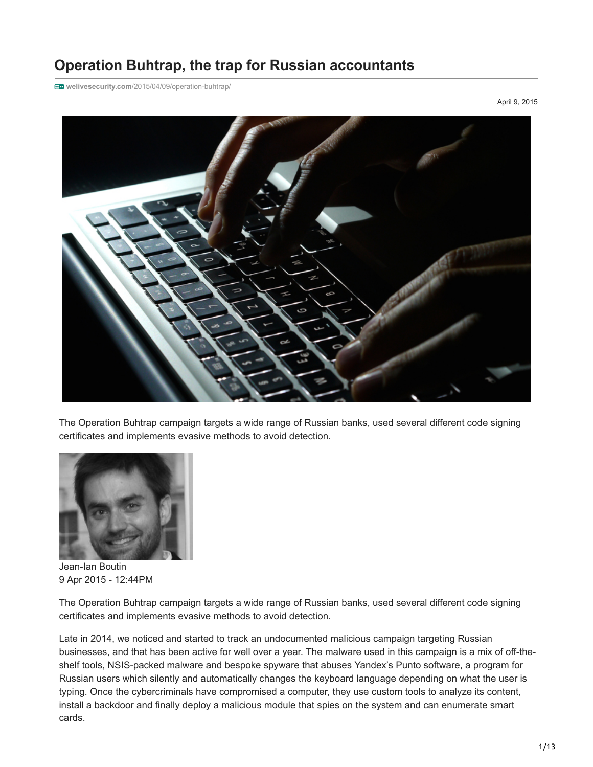# **Operation Buhtrap, the trap for Russian accountants**

**welivesecurity.com**[/2015/04/09/operation-buhtrap/](https://www.welivesecurity.com/2015/04/09/operation-buhtrap/)

April 9, 2015



The Operation Buhtrap campaign targets a wide range of Russian banks, used several different code signing certificates and implements evasive methods to avoid detection.



[Jean-Ian Boutin](https://www.welivesecurity.com/author/boutin/) 9 Apr 2015 - 12:44PM

The Operation Buhtrap campaign targets a wide range of Russian banks, used several different code signing certificates and implements evasive methods to avoid detection.

Late in 2014, we noticed and started to track an undocumented malicious campaign targeting Russian businesses, and that has been active for well over a year. The malware used in this campaign is a mix of off-theshelf tools, NSIS-packed malware and bespoke spyware that abuses Yandex's Punto software, a program for Russian users which silently and automatically changes the keyboard language depending on what the user is typing. Once the cybercriminals have compromised a computer, they use custom tools to analyze its content, install a backdoor and finally deploy a malicious module that spies on the system and can enumerate smart cards.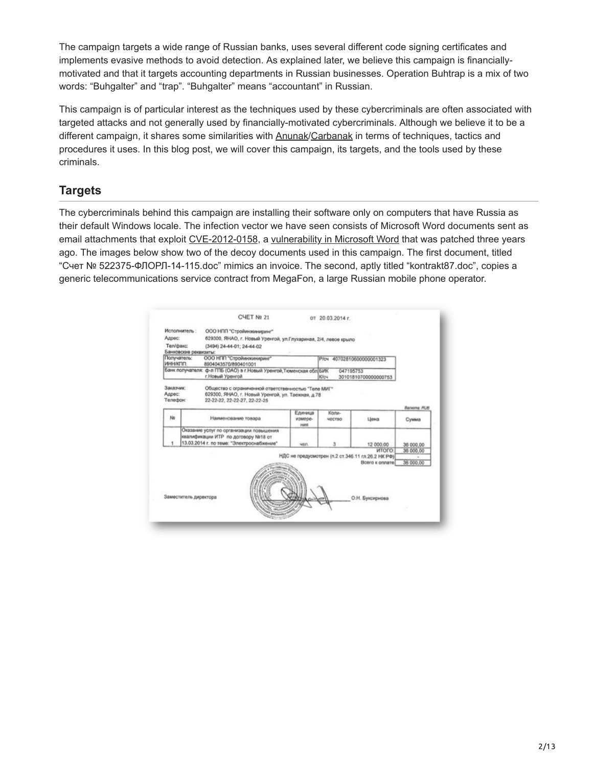The campaign targets a wide range of Russian banks, uses several different code signing certificates and implements evasive methods to avoid detection. As explained later, we believe this campaign is financiallymotivated and that it targets accounting departments in Russian businesses. Operation Buhtrap is a mix of two words: "Buhgalter" and "trap". "Buhgalter" means "accountant" in Russian.

This campaign is of particular interest as the techniques used by these cybercriminals are often associated with targeted attacks and not generally used by financially-motivated cybercriminals. Although we believe it to be a different campaign, it shares some similarities with [Anunak/](https://www.fox-it.com/en/files/2014/12/Anunak_APT-against-financial-institutions2.pdf)[Carbanak](https://securelist.com/blog/research/68732/the-great-bank-robbery-the-carbanak-apt/) in terms of techniques, tactics and procedures it uses. In this blog post, we will cover this campaign, its targets, and the tools used by these criminals.

# **Targets**

The cybercriminals behind this campaign are installing their software only on computers that have Russia as their default Windows locale. The infection vector we have seen consists of Microsoft Word documents sent as email attachments that exploit [CVE-2012-0158,](https://web.nvd.nist.gov/view/vuln/detail?vulnId=CVE-2012-0158) a [vulnerability in Microsoft Word](https://technet.microsoft.com/en-us/library/security/ms12-027.aspx) that was patched three years ago. The images below show two of the decoy documents used in this campaign. The first document, titled "Счет № 522375-ФЛОРЛ-14-115.doc" mimics an invoice. The second, aptly titled "kontrakt87.doc", copies a generic telecommunications service contract from MegaFon, a large Russian mobile phone operator.

|                                 | Исполнитель:          | ООО НПП "Стройинжиниринг"                                                                                                                |                                                                                         |                        |                                                                                     |                        |
|---------------------------------|-----------------------|------------------------------------------------------------------------------------------------------------------------------------------|-----------------------------------------------------------------------------------------|------------------------|-------------------------------------------------------------------------------------|------------------------|
| Annec:                          |                       | 629300, ЯНАО, г. Новый Уренгой, ул. Глухариная, 2/4, левое крыло                                                                         |                                                                                         |                        |                                                                                     |                        |
| Тел/факс:                       | Банковские реквизиты: | (3494) 24-44-01; 24-44-02                                                                                                                |                                                                                         |                        |                                                                                     |                        |
| Получатель:<br>ИННИЯТИТ:        |                       | ООО НПП "Стройинжинидинг"<br>8904043570/890401001                                                                                        |                                                                                         | <b>P/cy</b>            | 40702810600000001323                                                                |                        |
|                                 |                       | г. Новый Уренгой                                                                                                                         | Банк получателя: ф-л ГПБ (ОАО) в г.Новый Уренгой Тюменская обл БИК<br>047195753<br>K/cч |                        | 30101810700000000753                                                                |                        |
| Заказчик:<br>Адрес:<br>Телефон: |                       | Общество с ограниченной ответственностью "Теле МИГ"<br>629300, ЯНАО, г. Новый Уренгой, ул. Таежная, д.78<br>22-22-22, 22-22-27, 22-22-25 |                                                                                         |                        |                                                                                     | Bankyma: RUB           |
| No                              |                       | Наименование товара                                                                                                                      | Единица<br>измере-<br>HMR                                                               | Konu-<br><b>MOCTBO</b> | Цена                                                                                | Сумма                  |
|                                 |                       | Оказание услуг по организации повышения<br>квалификации ИТР по договору N#18 от<br>13.03.2014 г. по теме: "Электроснабжение"             | yen.                                                                                    | 3                      | 12 000.00                                                                           | 36 000,00              |
|                                 |                       |                                                                                                                                          |                                                                                         |                        | <b>ИТОГО</b><br>НДС не предусмотрен (п.2 ст.346.11 гл.26.2 НК РФ)<br>Boero к оплате | 36 000.00<br>36 000.00 |
|                                 | Заместитель директора |                                                                                                                                          |                                                                                         |                        | О.Н. Буксирнова                                                                     |                        |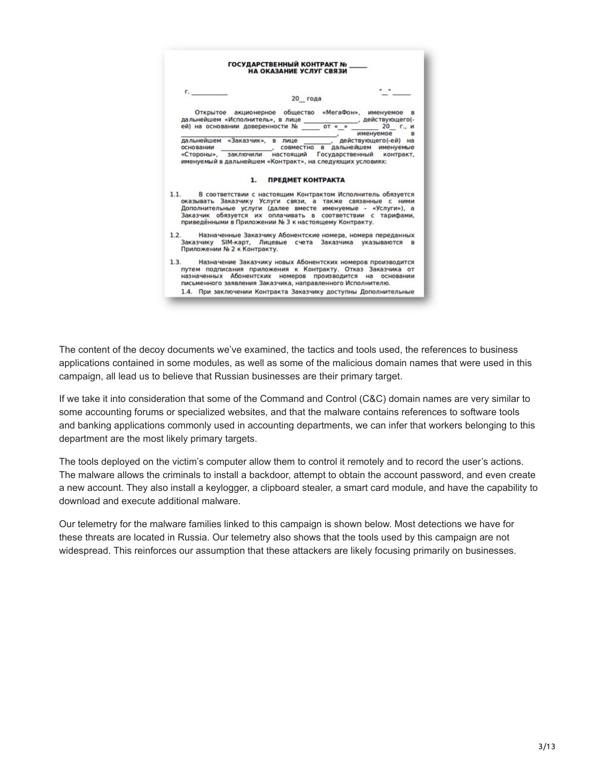

The content of the decoy documents we've examined, the tactics and tools used, the references to business applications contained in some modules, as well as some of the malicious domain names that were used in this campaign, all lead us to believe that Russian businesses are their primary target.

If we take it into consideration that some of the Command and Control (C&C) domain names are very similar to some accounting forums or specialized websites, and that the malware contains references to software tools and banking applications commonly used in accounting departments, we can infer that workers belonging to this department are the most likely primary targets.

The tools deployed on the victim's computer allow them to control it remotely and to record the user's actions. The malware allows the criminals to install a backdoor, attempt to obtain the account password, and even create a new account. They also install a keylogger, a clipboard stealer, a smart card module, and have the capability to download and execute additional malware.

Our telemetry for the malware families linked to this campaign is shown below. Most detections we have for these threats are located in Russia. Our telemetry also shows that the tools used by this campaign are not widespread. This reinforces our assumption that these attackers are likely focusing primarily on businesses.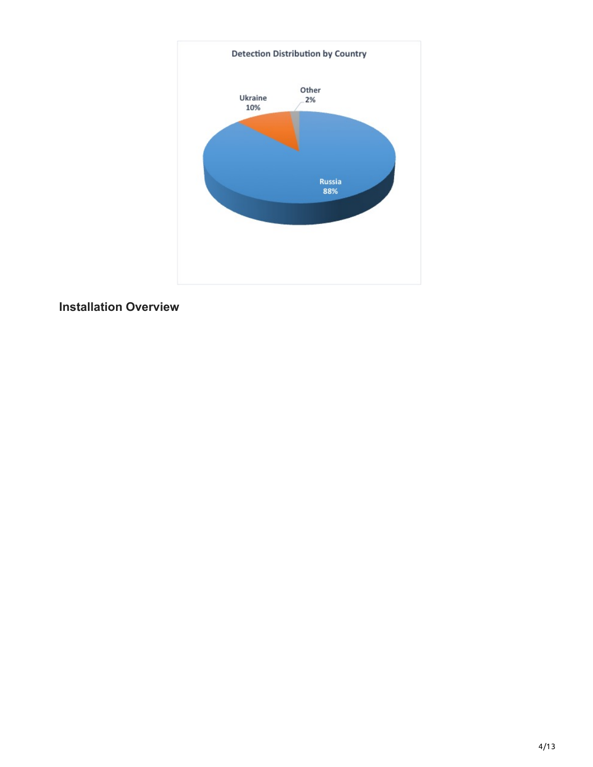

# **Installation Overview**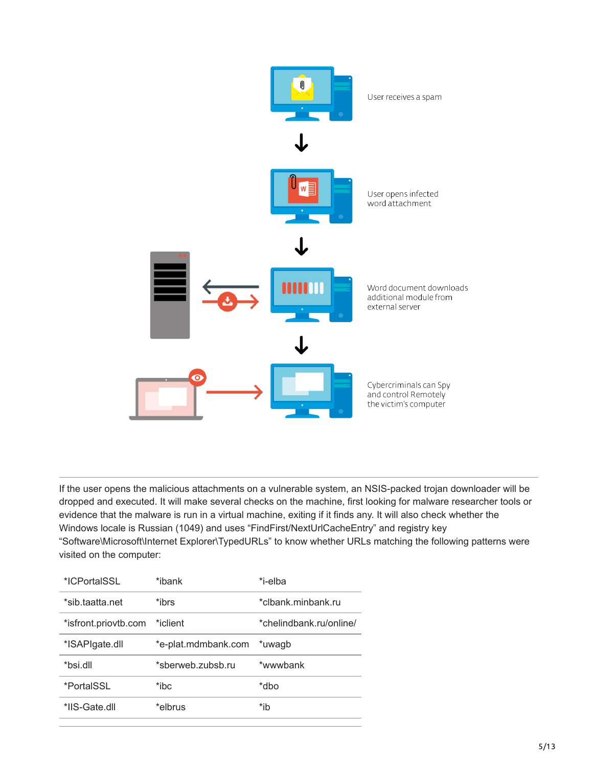

If the user opens the malicious attachments on a vulnerable system, an NSIS-packed trojan downloader will be dropped and executed. It will make several checks on the machine, first looking for malware researcher tools or evidence that the malware is run in a virtual machine, exiting if it finds any. It will also check whether the Windows locale is Russian (1049) and uses "FindFirst/NextUrlCacheEntry" and registry key "Software\Microsoft\Internet Explorer\TypedURLs" to know whether URLs matching the following patterns were visited on the computer:

| *ICPortaISSL         | *ibank              | *i-elba                 |
|----------------------|---------------------|-------------------------|
| *sib.taatta.net      | *ibrs               | *clbank.minbank.ru      |
| *isfront.priovtb.com | *iclient            | *chelindbank.ru/online/ |
| *ISAPIgate.dll       | *e-plat.mdmbank.com | *uwaqb                  |
| *bsi.dll             | *sberweb.zubsb.ru   | *wwwbank                |
| *PortalSSL           | *ibc                | *dbo                    |
| *IIS-Gate dll        | *elbrus             | *ib                     |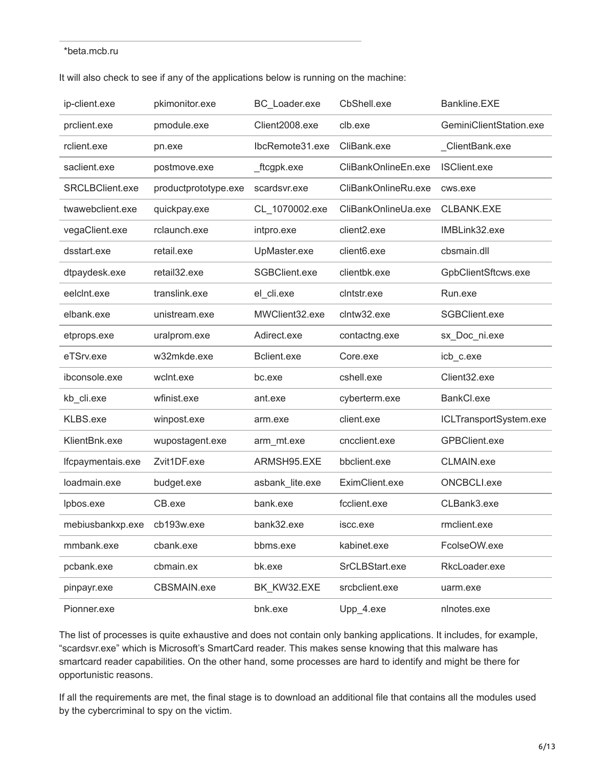#### \*beta.mcb.ru

| It will also check to see if any of the applications below is running on the machine: |
|---------------------------------------------------------------------------------------|
|---------------------------------------------------------------------------------------|

| ip-client.exe          | pkimonitor.exe       | BC_Loader.exe   | CbShell.exe             | Bankline.EXE            |
|------------------------|----------------------|-----------------|-------------------------|-------------------------|
| prclient.exe           | pmodule.exe          | Client2008.exe  | clb.exe                 | GeminiClientStation.exe |
| rclient.exe            | pn.exe               | IbcRemote31.exe | CliBank.exe             | _ClientBank.exe         |
| saclient.exe           | postmove.exe         | _ftcgpk.exe     | CliBankOnlineEn.exe     | <b>ISClient.exe</b>     |
| <b>SRCLBClient.exe</b> | productprototype.exe | scardsvr.exe    | CliBankOnlineRu.exe     | cws.exe                 |
| twawebclient.exe       | quickpay.exe         | CL_1070002.exe  | CliBankOnlineUa.exe     | CLBANK.EXE              |
| vegaClient.exe         | rclaunch.exe         | intpro.exe      | client <sub>2.exe</sub> | IMBLink32.exe           |
| dsstart.exe            | retail.exe           | UpMaster.exe    | client <sub>6.exe</sub> | cbsmain.dll             |
| dtpaydesk.exe          | retail32.exe         | SGBClient.exe   | clientbk.exe            | GpbClientSftcws.exe     |
| eelcint.exe            | translink.exe        | el_cli.exe      | cintstr.exe             | Run.exe                 |
| elbank.exe             | unistream.exe        | MWClient32.exe  | clntw32.exe             | SGBClient.exe           |
| etprops.exe            | uralprom.exe         | Adirect.exe     | contactng.exe           | sx_Doc_ni.exe           |
| eTSrv.exe              | w32mkde.exe          | Bclient.exe     | Core.exe                | icb_c.exe               |
| ibconsole.exe          | wclnt.exe            | bc.exe          | cshell.exe              | Client32.exe            |
| kb_cli.exe             | wfinist.exe          | ant.exe         | cyberterm.exe           | BankCl.exe              |
| KLBS.exe               | winpost.exe          | arm.exe         | client.exe              | ICLTransportSystem.exe  |
| KlientBnk.exe          | wupostagent.exe      | arm_mt.exe      | cncclient.exe           | <b>GPBClient.exe</b>    |
| Ifcpaymentais.exe      | Zvit1DF.exe          | ARMSH95.EXE     | bbclient.exe            | CLMAIN.exe              |
| loadmain.exe           | budget.exe           | asbank_lite.exe | EximClient.exe          | ONCBCLI.exe             |
| Ipbos.exe              | CB.exe               | bank.exe        | fcclient.exe            | CLBank3.exe             |
| mebiusbankxp.exe       | cb193w.exe           | bank32.exe      | iscc.exe                | rmclient.exe            |
| mmbank.exe             | cbank.exe            | bbms.exe        | kabinet.exe             | FcolseOW.exe            |
| pcbank.exe             | cbmain.ex            | bk.exe          | SrCLBStart.exe          | RkcLoader.exe           |
| pinpayr.exe            | CBSMAIN.exe          | BK_KW32.EXE     | srcbclient.exe          | uarm.exe                |
| Pionner.exe            |                      | bnk.exe         | Upp_4.exe               | nlnotes.exe             |

The list of processes is quite exhaustive and does not contain only banking applications. It includes, for example, "scardsvr.exe" which is Microsoft's SmartCard reader. This makes sense knowing that this malware has smartcard reader capabilities. On the other hand, some processes are hard to identify and might be there for opportunistic reasons.

If all the requirements are met, the final stage is to download an additional file that contains all the modules used by the cybercriminal to spy on the victim.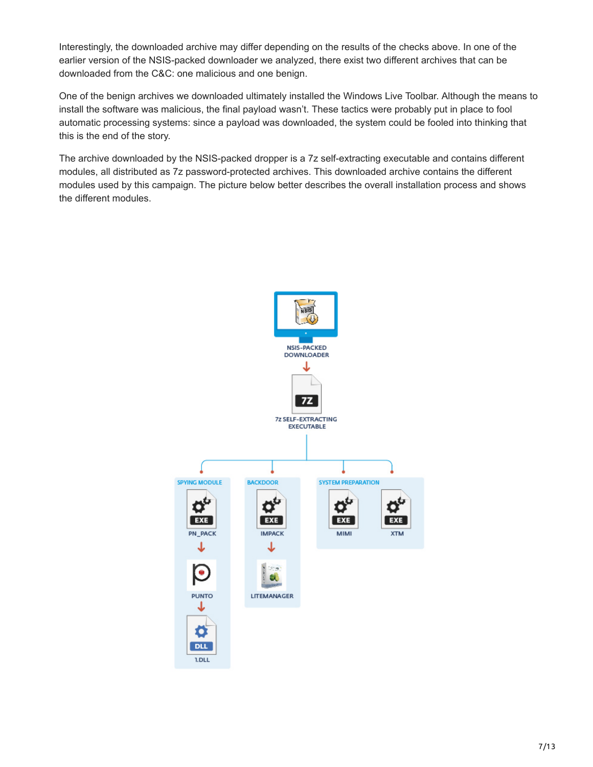Interestingly, the downloaded archive may differ depending on the results of the checks above. In one of the earlier version of the NSIS-packed downloader we analyzed, there exist two different archives that can be downloaded from the C&C: one malicious and one benign.

One of the benign archives we downloaded ultimately installed the Windows Live Toolbar. Although the means to install the software was malicious, the final payload wasn't. These tactics were probably put in place to fool automatic processing systems: since a payload was downloaded, the system could be fooled into thinking that this is the end of the story.

The archive downloaded by the NSIS-packed dropper is a 7z self-extracting executable and contains different modules, all distributed as 7z password-protected archives. This downloaded archive contains the different modules used by this campaign. The picture below better describes the overall installation process and shows the different modules.

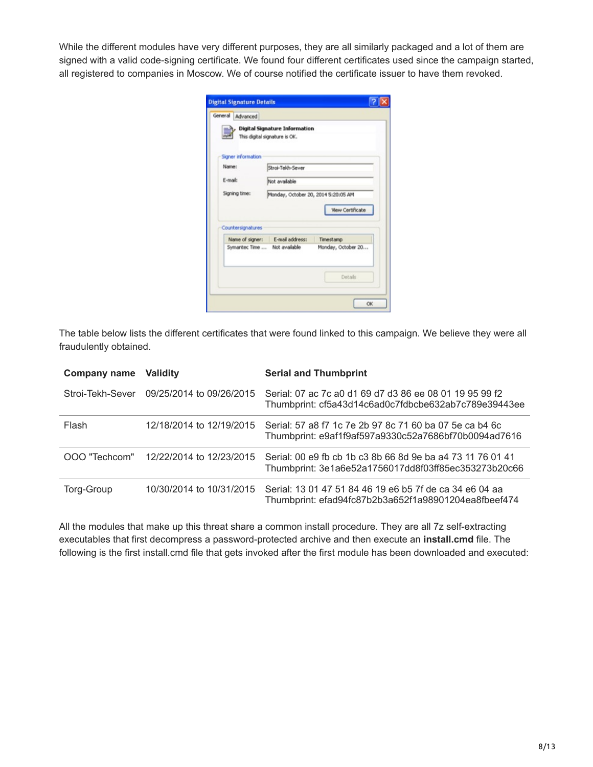While the different modules have very different purposes, they are all similarly packaged and a lot of them are signed with a valid code-signing certificate. We found four different certificates used since the campaign started, all registered to companies in Moscow. We of course notified the certificate issuer to have them revoked.

|                    | Digital Signature Information       |                    |
|--------------------|-------------------------------------|--------------------|
|                    | This digital signature is OK.       |                    |
|                    |                                     |                    |
| Signer information |                                     |                    |
| Name:              | Stroi-Tekh-Sever                    |                    |
| E-mail:            | Not available                       |                    |
| Signing time:      | Monday, October 20, 2014 5:20:05 AM |                    |
|                    |                                     |                    |
|                    |                                     | View Certificate   |
|                    |                                     |                    |
|                    |                                     |                    |
|                    |                                     |                    |
| Countersignatures  | Name of signer: E-mail address:     | Timestamp          |
|                    | Symantec Time  Not available        | Monday, October 20 |
|                    |                                     | Details            |

The table below lists the different certificates that were found linked to this campaign. We believe they were all fraudulently obtained.

| <b>Company name Validity</b> |                                        | <b>Serial and Thumbprint</b>                                                                                       |
|------------------------------|----------------------------------------|--------------------------------------------------------------------------------------------------------------------|
| Stroi-Tekh-Sever             | 09/25/2014 to 09/26/2015               | Serial: 07 ac 7c a0 d1 69 d7 d3 86 ee 08 01 19 95 99 f2<br>Thumbprint: cf5a43d14c6ad0c7fdbcbe632ab7c789e39443ee    |
| Flash                        | 12/18/2014 to 12/19/2015               | Serial: 57 a8 f7 1c 7e 2b 97 8c 71 60 ba 07 5e ca b4 6c<br>Thumbprint: e9af1f9af597a9330c52a7686bf70b0094ad7616    |
|                              | OOO "Techcom" 12/22/2014 to 12/23/2015 | Serial: 00 e9 fb cb 1b c3 8b 66 8d 9e ba a4 73 11 76 01 41<br>Thumbprint: 3e1a6e52a1756017dd8f03ff85ec353273b20c66 |
| Torg-Group                   | 10/30/2014 to 10/31/2015               | Serial: 13 01 47 51 84 46 19 e6 b5 7f de ca 34 e6 04 aa<br>Thumbprint: efad94fc87b2b3a652f1a98901204ea8fbeef474    |

All the modules that make up this threat share a common install procedure. They are all 7z self-extracting executables that first decompress a password-protected archive and then execute an **install.cmd** file. The following is the first install.cmd file that gets invoked after the first module has been downloaded and executed: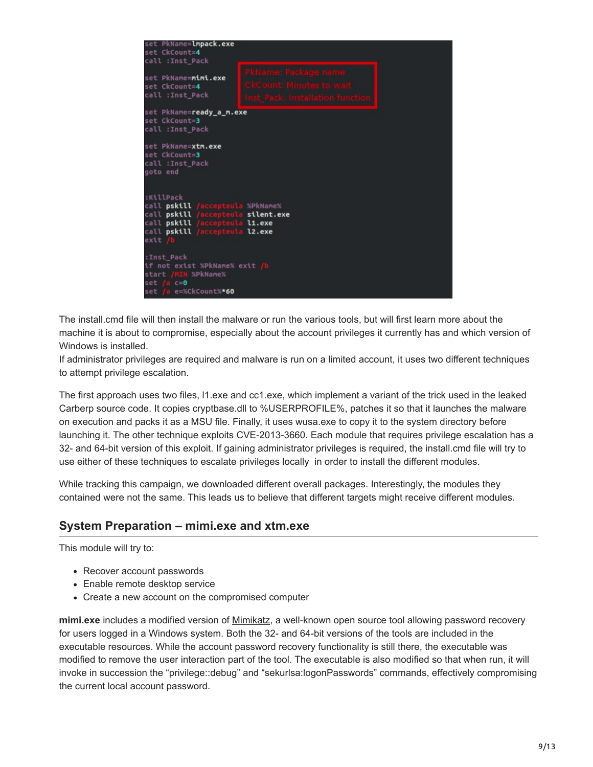

The install.cmd file will then install the malware or run the various tools, but will first learn more about the machine it is about to compromise, especially about the account privileges it currently has and which version of Windows is installed.

If administrator privileges are required and malware is run on a limited account, it uses two different techniques to attempt privilege escalation.

The first approach uses two files, l1.exe and cc1.exe, which implement a variant of the trick used in the leaked Carberp source code. It copies cryptbase.dll to %USERPROFILE%, patches it so that it launches the malware on execution and packs it as a MSU file. Finally, it uses wusa.exe to copy it to the system directory before launching it. The other technique exploits CVE-2013-3660. Each module that requires privilege escalation has a 32- and 64-bit version of this exploit. If gaining administrator privileges is required, the install.cmd file will try to use either of these techniques to escalate privileges locally in order to install the different modules.

While tracking this campaign, we downloaded different overall packages. Interestingly, the modules they contained were not the same. This leads us to believe that different targets might receive different modules.

### **System Preparation – mimi.exe and xtm.exe**

This module will try to:

- Recover account passwords
- Enable remote desktop service
- Create a new account on the compromised computer

**mimi.exe** includes a modified version of [Mimikatz,](https://github.com/gentilkiwi/mimikatz) a well-known open source tool allowing password recovery for users logged in a Windows system. Both the 32- and 64-bit versions of the tools are included in the executable resources. While the account password recovery functionality is still there, the executable was modified to remove the user interaction part of the tool. The executable is also modified so that when run, it will invoke in succession the "privilege::debug" and "sekurlsa:logonPasswords" commands, effectively compromising the current local account password.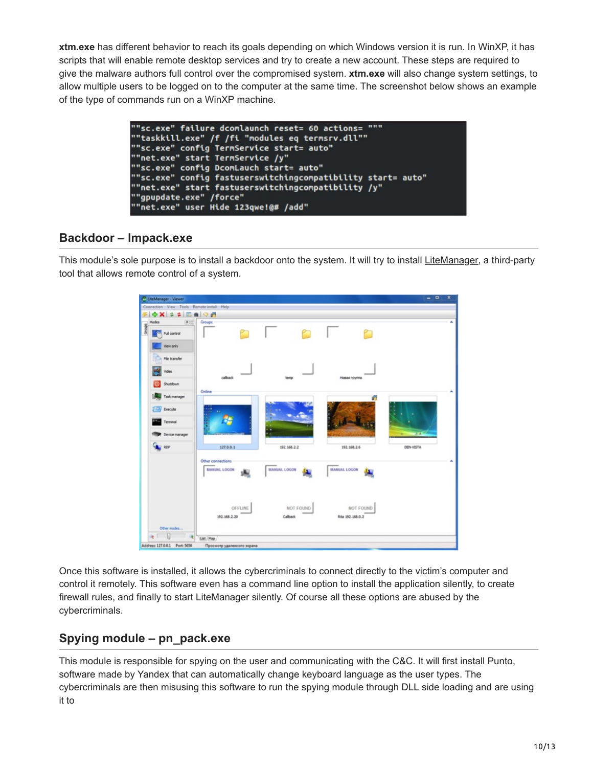**xtm.exe** has different behavior to reach its goals depending on which Windows version it is run. In WinXP, it has scripts that will enable remote desktop services and try to create a new account. These steps are required to give the malware authors full control over the compromised system. **xtm.exe** will also change system settings, to allow multiple users to be logged on to the computer at the same time. The screenshot below shows an example of the type of commands run on a WinXP machine.

| ""sc.exe" failure dcomlaunch reset= 60 actions= """          |  |
|--------------------------------------------------------------|--|
| ""taskkill.exe" /f /fi "modules eq termsrv.dll""             |  |
| ""sc.exe" config TermService start= auto"                    |  |
| ""net.exe" start TermService /y"                             |  |
| ""sc.exe" config DcomLauch start= auto"                      |  |
| ""sc.exe" config fastuserswitchingcompatibility start= auto" |  |
| ""net.exe" start fastuserswitchingcompatibility /y"          |  |
| ""gpupdate.exe" /force"                                      |  |
| ""net.exe" user Hide 123qwe!@# /add"                         |  |

### **Backdoor – lmpack.exe**

This module's sole purpose is to install a backdoor onto the system. It will try to install [LiteManager,](http://en.wikipedia.org/wiki/LiteManager) a third-party tool that allows remote control of a system.



Once this software is installed, it allows the cybercriminals to connect directly to the victim's computer and control it remotely. This software even has a command line option to install the application silently, to create firewall rules, and finally to start LiteManager silently. Of course all these options are abused by the cybercriminals.

# **Spying module – pn\_pack.exe**

This module is responsible for spying on the user and communicating with the C&C. It will first install Punto, software made by Yandex that can automatically change keyboard language as the user types. The cybercriminals are then misusing this software to run the spying module through DLL side loading and are using it to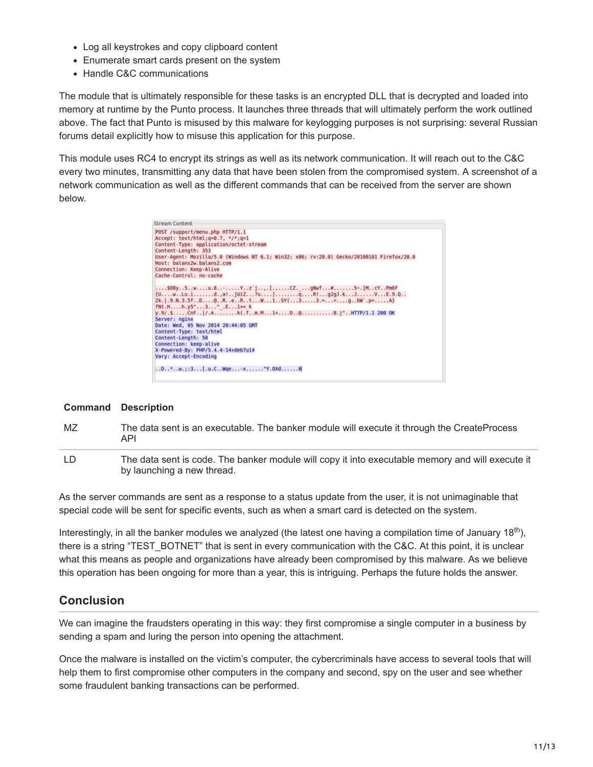- Log all keystrokes and copy clipboard content
- Enumerate smart cards present on the system
- Handle C&C communications

The module that is ultimately responsible for these tasks is an encrypted DLL that is decrypted and loaded into memory at runtime by the Punto process. It launches three threads that will ultimately perform the work outlined above. The fact that Punto is misused by this malware for keylogging purposes is not surprising: several Russian forums detail explicitly how to misuse this application for this purpose.

This module uses RC4 to encrypt its strings as well as its network communication. It will reach out to the C&C every two minutes, transmitting any data that have been stolen from the compromised system. A screenshot of a network communication as well as the different commands that can be received from the server are shown below.



#### **Command Description**

- MZ The data sent is an executable. The banker module will execute it through the CreateProcess API
- LD The data sent is code. The banker module will copy it into executable memory and will execute it by launching a new thread.

As the server commands are sent as a response to a status update from the user, it is not unimaginable that special code will be sent for specific events, such as when a smart card is detected on the system.

Interestingly, in all the banker modules we analyzed (the latest one having a compilation time of January 18<sup>th</sup>), there is a string "TEST\_BOTNET" that is sent in every communication with the C&C. At this point, it is unclear what this means as people and organizations have already been compromised by this malware. As we believe this operation has been ongoing for more than a year, this is intriguing. Perhaps the future holds the answer.

# **Conclusion**

We can imagine the fraudsters operating in this way: they first compromise a single computer in a business by sending a spam and luring the person into opening the attachment.

Once the malware is installed on the victim's computer, the cybercriminals have access to several tools that will help them to first compromise other computers in the company and second, spy on the user and see whether some fraudulent banking transactions can be performed.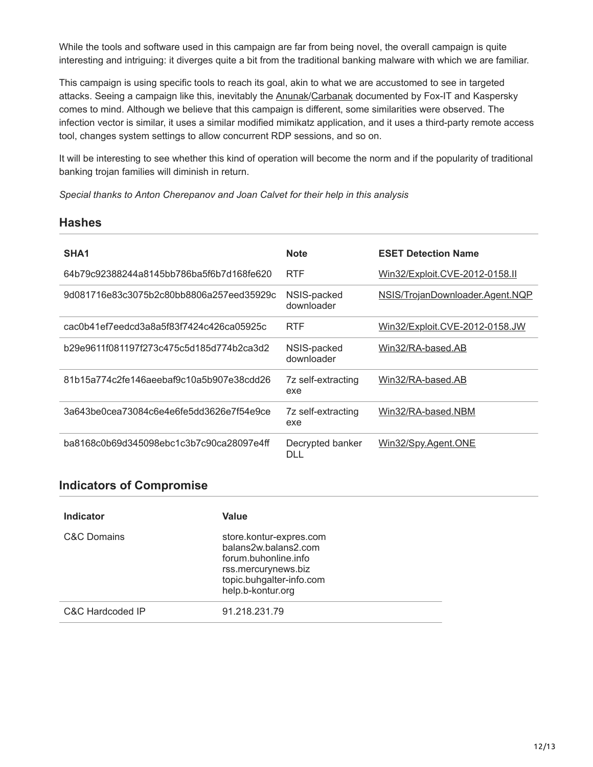While the tools and software used in this campaign are far from being novel, the overall campaign is quite interesting and intriguing: it diverges quite a bit from the traditional banking malware with which we are familiar.

This campaign is using specific tools to reach its goal, akin to what we are accustomed to see in targeted attacks. Seeing a campaign like this, inevitably the **[Anunak](https://www.fox-it.com/en/files/2014/12/Anunak_APT-against-financial-institutions2.pdf)/Carbanak** documented by Fox-IT and Kaspersky comes to mind. Although we believe that this campaign is different, some similarities were observed. The infection vector is similar, it uses a similar modified mimikatz application, and it uses a third-party remote access tool, changes system settings to allow concurrent RDP sessions, and so on.

It will be interesting to see whether this kind of operation will become the norm and if the popularity of traditional banking trojan families will diminish in return.

*Special thanks to Anton Cherepanov and Joan Calvet for their help in this analysis*

#### **Hashes**

| SHA <sub>1</sub>                         | <b>Note</b>               | <b>ESET Detection Name</b>      |
|------------------------------------------|---------------------------|---------------------------------|
| 64b79c92388244a8145bb786ba5f6b7d168fe620 | <b>RTF</b>                | Win32/Exploit.CVE-2012-0158.II  |
| 9d081716e83c3075b2c80bb8806a257eed35929c | NSIS-packed<br>downloader | NSIS/TrojanDownloader.Agent.NQP |
| cac0b41ef7eedcd3a8a5f83f7424c426ca05925c | <b>RTF</b>                | Win32/Exploit.CVE-2012-0158.JW  |
| b29e9611f081197f273c475c5d185d774b2ca3d2 | NSIS-packed<br>downloader | Win32/RA-based.AB               |
| 81b15a774c2fe146aeebaf9c10a5b907e38cdd26 | 7z self-extracting<br>exe | Win32/RA-based.AB               |
| 3a643be0cea73084c6e4e6fe5dd3626e7f54e9ce | 7z self-extracting<br>exe | Win32/RA-based.NBM              |
| ba8168c0b69d345098ebc1c3b7c90ca28097e4ff | Decrypted banker<br>DLL   | <u>Win32/Spy.Agent.ONE</u>      |

### **Indicators of Compromise**

| <b>Indicator</b> | Value                                                                                                                                           |  |
|------------------|-------------------------------------------------------------------------------------------------------------------------------------------------|--|
| C&C Domains      | store.kontur-expres.com<br>balans2w.balans2.com<br>forum.buhonline.info<br>rss.mercurynews.biz<br>topic.buhgalter-info.com<br>help.b-kontur.org |  |
| C&C Hardcoded IP | 91.218.231.79                                                                                                                                   |  |